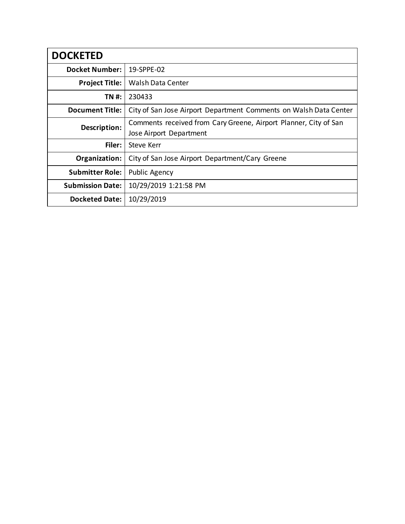| <b>DOCKETED</b>         |                                                                                             |
|-------------------------|---------------------------------------------------------------------------------------------|
| <b>Docket Number:</b>   | 19-SPPE-02                                                                                  |
| <b>Project Title:</b>   | <b>Walsh Data Center</b>                                                                    |
| TN #:                   | 230433                                                                                      |
| <b>Document Title:</b>  | City of San Jose Airport Department Comments on Walsh Data Center                           |
| Description:            | Comments received from Cary Greene, Airport Planner, City of San<br>Jose Airport Department |
| Filer:                  | <b>Steve Kerr</b>                                                                           |
| Organization:           | City of San Jose Airport Department/Cary Greene                                             |
| <b>Submitter Role:</b>  | Public Agency                                                                               |
| <b>Submission Date:</b> | 10/29/2019 1:21:58 PM                                                                       |
| <b>Docketed Date:</b>   | 10/29/2019                                                                                  |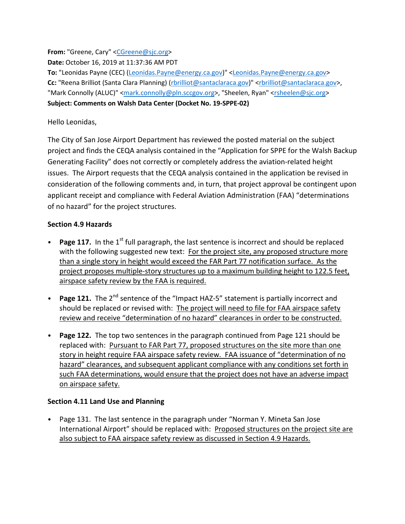**From:** "Greene, Cary" <**CGreene@sjc.org>** 

**Date:** October 16, 2019 at 11:37:36 AM PDT

**To:** "Leonidas Payne (CEC) [\(Leonidas.Payne@energy.ca.gov\)](mailto:Leonidas.Payne@energy.ca.gov)" [<Leonidas.Payne@energy.ca.gov>](mailto:Leonidas.Payne@energy.ca.gov) Cc: "Reena Brilliot (Santa Clara Planning) [\(rbrilliot@santaclaraca.gov\)](mailto:rbrilliot@santaclaraca.gov)" [<rbrilliot@santaclaraca.gov>](mailto:rbrilliot@santaclaraca.gov), "Mark Connolly (ALUC)" [<mark.connolly@pln.sccgov.org>](mailto:mark.connolly@pln.sccgov.org), "Sheelen, Ryan" [<rsheelen@sjc.org>](mailto:rsheelen@sjc.org) **Subject: Comments on Walsh Data Center (Docket No. 19-SPPE-02)**

## Hello Leonidas,

The City of San Jose Airport Department has reviewed the posted material on the subject project and finds the CEQA analysis contained in the "Application for SPPE for the Walsh Backup Generating Facility" does not correctly or completely address the aviation-related height issues. The Airport requests that the CEQA analysis contained in the application be revised in consideration of the following comments and, in turn, that project approval be contingent upon applicant receipt and compliance with Federal Aviation Administration (FAA) "determinations of no hazard" for the project structures.

## **Section 4.9 Hazards**

- **Page 117.** In the 1<sup>st</sup> full paragraph, the last sentence is incorrect and should be replaced with the following suggested new text: For the project site, any proposed structure more than a single story in height would exceed the FAR Part 77 notification surface. As the project proposes multiple-story structures up to a maximum building height to 122.5 feet, airspace safety review by the FAA is required.
- **Page 121.** The 2<sup>nd</sup> sentence of the "Impact HAZ-5" statement is partially incorrect and should be replaced or revised with: The project will need to file for FAA airspace safety review and receive "determination of no hazard" clearances in order to be constructed.
- **Page 122.** The top two sentences in the paragraph continued from Page 121 should be replaced with: Pursuant to FAR Part 77, proposed structures on the site more than one story in height require FAA airspace safety review. FAA issuance of "determination of no hazard" clearances, and subsequent applicant compliance with any conditions set forth in such FAA determinations, would ensure that the project does not have an adverse impact on airspace safety.

## **Section 4.11 Land Use and Planning**

• Page 131. The last sentence in the paragraph under "Norman Y. Mineta San Jose International Airport" should be replaced with: Proposed structures on the project site are also subject to FAA airspace safety review as discussed in Section 4.9 Hazards.